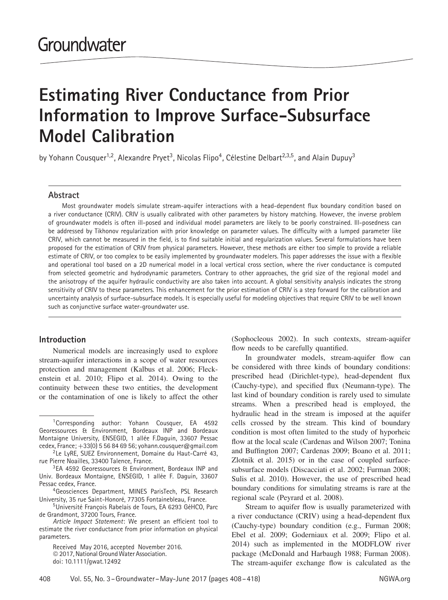# **Estimating River Conductance from Prior Information to Improve Surface-Subsurface Model Calibration**

by Yohann Cousquer<sup>1,2</sup>, Alexandre Pryet<sup>3</sup>, Nicolas Flipo<sup>4</sup>, Célestine Delbart<sup>2,3,5</sup>, and Alain Dupuy<sup>3</sup>

## **Abstract**

Most groundwater models simulate stream-aquifer interactions with a head-dependent flux boundary condition based on a river conductance (CRIV). CRIV is usually calibrated with other parameters by history matching. However, the inverse problem of groundwater models is often ill-posed and individual model parameters are likely to be poorly constrained. Ill-posedness can be addressed by Tikhonov regularization with prior knowledge on parameter values. The difficulty with a lumped parameter like CRIV, which cannot be measured in the field, is to find suitable initial and regularization values. Several formulations have been proposed for the estimation of CRIV from physical parameters. However, these methods are either too simple to provide a reliable estimate of CRIV, or too complex to be easily implemented by groundwater modelers. This paper addresses the issue with a flexible and operational tool based on a 2D numerical model in a local vertical cross section, where the river conductance is computed from selected geometric and hydrodynamic parameters. Contrary to other approaches, the grid size of the regional model and the anisotropy of the aquifer hydraulic conductivity are also taken into account. A global sensitivity analysis indicates the strong sensitivity of CRIV to these parameters. This enhancement for the prior estimation of CRIV is a step forward for the calibration and uncertainty analysis of surface-subsurface models. It is especially useful for modeling objectives that require CRIV to be well known such as conjunctive surface water-groundwater use.

## **Introduction**

Numerical models are increasingly used to explore stream-aquifer interactions in a scope of water resources protection and management (Kalbus et al. 2006; Fleckenstein et al. 2010; Flipo et al. 2014). Owing to the continuity between these two entities, the development or the contamination of one is likely to affect the other

Received May 2016, accepted November 2016. ©2017, National Ground Water Association. doi: 10.1111/gwat.12492

(Sophocleous 2002). In such contexts, stream-aquifer flow needs to be carefully quantified.

In groundwater models, stream-aquifer flow can be considered with three kinds of boundary conditions: prescribed head (Dirichlet-type), head-dependent flux (Cauchy-type), and specified flux (Neumann-type). The last kind of boundary condition is rarely used to simulate streams. When a prescribed head is employed, the hydraulic head in the stream is imposed at the aquifer cells crossed by the stream. This kind of boundary condition is most often limited to the study of hyporheic flow at the local scale (Cardenas and Wilson 2007; Tonina and Buffington 2007; Cardenas 2009; Boano et al. 2011; Zlotnik et al. 2015) or in the case of coupled surfacesubsurface models (Discacciati et al. 2002; Furman 2008; Sulis et al. 2010). However, the use of prescribed head boundary conditions for simulating streams is rare at the regional scale (Peyrard et al. 2008).

Stream to aquifer flow is usually parameterized with a river conductance (CRIV) using a head-dependent flux (Cauchy-type) boundary condition (e.g., Furman 2008; Ebel et al. 2009; Goderniaux et al. 2009; Flipo et al. 2014) such as implemented in the MODFLOW river package (McDonald and Harbaugh 1988; Furman 2008). The stream-aquifer exchange flow is calculated as the

<sup>1</sup>Corresponding author: Yohann Cousquer, EA 4592 Georessources & Environment, Bordeaux INP and Bordeaux Montaigne University, ENSEGID, 1 allée F.Daguin, 33607 Pessac cedex, France;  $+33(0)$  5 56 84 69 56; yohann.cousquer@gmail.com

<sup>&</sup>lt;sup>2</sup> Le LyRE, SUEZ Environnement, Domaine du Haut-Carré 43, rue Pierre Noailles, 33400 Talence, France.<br><sup>3</sup>EA 4592 Georessources & Environment, Bordeaux INP and

Univ. Bordeaux Montaigne, ENSEGID, 1 allée F. Daguin, 33607 Pessac cedex, France.<br><sup>4</sup>Geosciences Department, MINES ParisTech, PSL Research

University, 35 rue Saint-Honoré, 77305 Fontainebleau, France.<br><sup>5</sup>Université François Rabelais de Tours, EA 6293 GéHCO, Parc de Grandmont, 37200 Tours, France.

*Article Impact Statement*: We present an efficient tool to estimate the river conductance from prior information on physical parameters.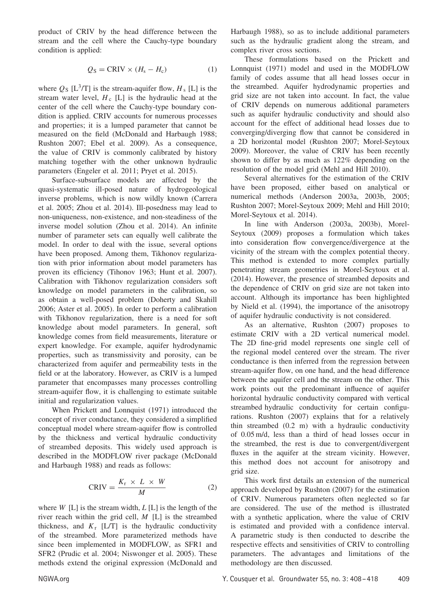product of CRIV by the head difference between the stream and the cell where the Cauchy-type boundary condition is applied:

$$
Q_{\rm S} = \text{CRIV} \times (H_{\rm s} - H_{\rm c}) \tag{1}
$$

where  $Q_S$  [L<sup>3</sup>/T] is the stream-aquifer flow,  $H_s$  [L] is the stream water level,  $H_c$  [L] is the hydraulic head at the center of the cell where the Cauchy-type boundary condition is applied. CRIV accounts for numerous processes and properties; it is a lumped parameter that cannot be measured on the field (McDonald and Harbaugh 1988; Rushton 2007; Ebel et al. 2009). As a consequence, the value of CRIV is commonly calibrated by history matching together with the other unknown hydraulic parameters (Engeler et al. 2011; Pryet et al. 2015).

Surface-subsurface models are affected by the quasi-systematic ill-posed nature of hydrogeological inverse problems, which is now wildly known (Carrera et al. 2005; Zhou et al. 2014). Ill-posedness may lead to non-uniqueness, non-existence, and non-steadiness of the inverse model solution (Zhou et al. 2014). An infinite number of parameter sets can equally well calibrate the model. In order to deal with the issue, several options have been proposed. Among them, Tikhonov regularization with prior information about model parameters has proven its efficiency (Tihonov 1963; Hunt et al. 2007). Calibration with Tikhonov regularization considers soft knowledge on model parameters in the calibration, so as obtain a well-posed problem (Doherty and Skahill 2006; Aster et al. 2005). In order to perform a calibration with Tikhonov regularization, there is a need for soft knowledge about model parameters. In general, soft knowledge comes from field measurements, literature or expert knowledge. For example, aquifer hydrodynamic properties, such as transmissivity and porosity, can be characterized from aquifer and permeability tests in the field or at the laboratory. However, as CRIV is a lumped parameter that encompasses many processes controlling stream-aquifer flow, it is challenging to estimate suitable initial and regularization values.

When Prickett and Lonnquist (1971) introduced the concept of river conductance, they considered a simplified conceptual model where stream-aquifer flow is controlled by the thickness and vertical hydraulic conductivity of streambed deposits. This widely used approach is described in the MODFLOW river package (McDonald and Harbaugh 1988) and reads as follows:

$$
CRIV = \frac{K_r \times L \times W}{M}
$$
 (2)

where *W* [L] is the stream width, *L* [L] is the length of the river reach within the grid cell, *M* [L] is the streambed thickness, and  $K_r$  [L/T] is the hydraulic conductivity of the streambed. More parameterized methods have since been implemented in MODFLOW, as SFR1 and SFR2 (Prudic et al. 2004; Niswonger et al. 2005). These methods extend the original expression (McDonald and

Harbaugh 1988), so as to include additional parameters such as the hydraulic gradient along the stream, and complex river cross sections.

These formulations based on the Prickett and Lonnquist (1971) model and used in the MODFLOW family of codes assume that all head losses occur in the streambed. Aquifer hydrodynamic properties and grid size are not taken into account. In fact, the value of CRIV depends on numerous additional parameters such as aquifer hydraulic conductivity and should also account for the effect of additional head losses due to converging/diverging flow that cannot be considered in a 2D horizontal model (Rushton 2007; Morel-Seytoux 2009). Moreover, the value of CRIV has been recently shown to differ by as much as 122% depending on the resolution of the model grid (Mehl and Hill 2010).

Several alternatives for the estimation of the CRIV have been proposed, either based on analytical or numerical methods (Anderson 2003a, 2003b, 2005; Rushton 2007; Morel-Seytoux 2009; Mehl and Hill 2010; Morel-Seytoux et al. 2014).

In line with Anderson (2003a, 2003b), Morel-Seytoux (2009) proposes a formulation which takes into consideration flow convergence/divergence at the vicinity of the stream with the complex potential theory. This method is extended to more complex partially penetrating stream geometries in Morel-Seytoux et al. (2014). However, the presence of streambed deposits and the dependence of CRIV on grid size are not taken into account. Although its importance has been highlighted by Nield et al. (1994), the importance of the anisotropy of aquifer hydraulic conductivity is not considered.

As an alternative, Rushton (2007) proposes to estimate CRIV with a 2D vertical numerical model. The 2D fine-grid model represents one single cell of the regional model centered over the stream. The river conductance is then inferred from the regression between stream-aquifer flow, on one hand, and the head difference between the aquifer cell and the stream on the other. This work points out the predominant influence of aquifer horizontal hydraulic conductivity compared with vertical streambed hydraulic conductivity for certain configurations. Rushton (2007) explains that for a relatively thin streambed (0.2 m) with a hydraulic conductivity of 0.05 m/d, less than a third of head losses occur in the streambed, the rest is due to convergent/divergent fluxes in the aquifer at the stream vicinity. However, this method does not account for anisotropy and grid size.

This work first details an extension of the numerical approach developed by Rushton (2007) for the estimation of CRIV. Numerous parameters often neglected so far are considered. The use of the method is illustrated with a synthetic application, where the value of CRIV is estimated and provided with a confidence interval. A parametric study is then conducted to describe the respective effects and sensitivities of CRIV to controlling parameters. The advantages and limitations of the methodology are then discussed.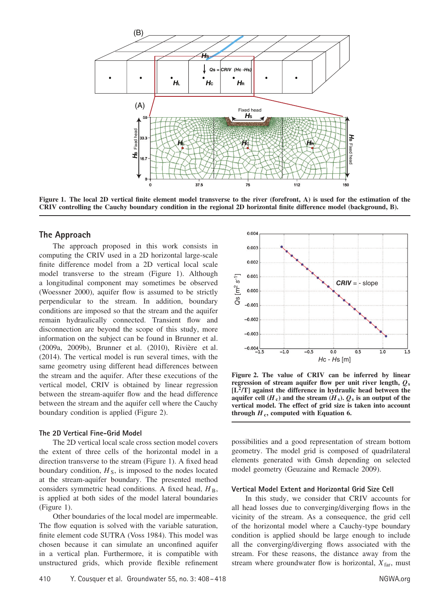

**Figure 1. The local 2D vertical finite element model transverse to the river (forefront, A) is used for the estimation of the CRIV controlling the Cauchy boundary condition in the regional 2D horizontal finite difference model (background, B).**

## **The Approach**

The approach proposed in this work consists in computing the CRIV used in a 2D horizontal large-scale finite difference model from a 2D vertical local scale model transverse to the stream (Figure 1). Although a longitudinal component may sometimes be observed (Woessner 2000), aquifer flow is assumed to be strictly perpendicular to the stream. In addition, boundary conditions are imposed so that the stream and the aquifer remain hydraulically connected. Transient flow and disconnection are beyond the scope of this study, more information on the subject can be found in Brunner et al. (2009a, 2009b), Brunner et al. (2010), Rivière et al. (2014). The vertical model is run several times, with the same geometry using different head differences between the stream and the aquifer. After these executions of the vertical model, CRIV is obtained by linear regression between the stream-aquifer flow and the head difference between the stream and the aquifer cell where the Cauchy boundary condition is applied (Figure 2).

#### **The 2D Vertical Fine-Grid Model**

The 2D vertical local scale cross section model covers the extent of three cells of the horizontal model in a direction transverse to the stream (Figure 1). A fixed head boundary condition,  $H<sub>S</sub>$ , is imposed to the nodes located at the stream-aquifer boundary. The presented method considers symmetric head conditions. A fixed head,  $H_B$ , is applied at both sides of the model lateral boundaries (Figure 1).

Other boundaries of the local model are impermeable. The flow equation is solved with the variable saturation, finite element code SUTRA (Voss 1984). This model was chosen because it can simulate an unconfined aquifer in a vertical plan. Furthermore, it is compatible with unstructured grids, which provide flexible refinement



**Figure 2. The value of CRIV can be inferred by linear regression of stream aquifer flow per unit river length,** *Q***<sup>s</sup> [L2/T] against the difference in hydraulic head between the aquifer cell**  $(H_c)$  and the stream  $(H_s)$ .  $Q_s$  is an output of the **vertical model. The effect of grid size is taken into account through**  $H_c$ **, computed with Equation 6.** 

possibilities and a good representation of stream bottom geometry. The model grid is composed of quadrilateral elements generated with Gmsh depending on selected model geometry (Geuzaine and Remacle 2009).

### **Vertical Model Extent and Horizontal Grid Size Cell**

In this study, we consider that CRIV accounts for all head losses due to converging/diverging flows in the vicinity of the stream. As a consequence, the grid cell of the horizontal model where a Cauchy-type boundary condition is applied should be large enough to include all the converging/diverging flows associated with the stream. For these reasons, the distance away from the stream where groundwater flow is horizontal,  $X_{\text{far}}$ , must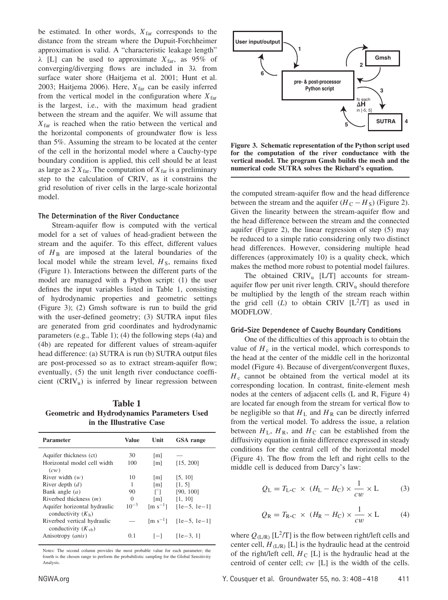be estimated. In other words,  $X_{\text{far}}$  corresponds to the distance from the stream where the Dupuit-Forchheimer approximation is valid. A "characteristic leakage length" *λ* [L] can be used to approximate *X*far, as 95% of converging/diverging flows are included in 3*λ* from surface water shore (Haitjema et al. 2001; Hunt et al. 2003; Haitjema 2006). Here, *X*far can be easily inferred from the vertical model in the configuration where  $X_{\text{far}}$ is the largest, i.e., with the maximum head gradient between the stream and the aquifer. We will assume that *X*far is reached when the ratio between the vertical and the horizontal components of groundwater flow is less than 5%. Assuming the stream to be located at the center of the cell in the horizontal model where a Cauchy-type boundary condition is applied, this cell should be at least as large as  $2 X_{\text{far}}$ . The computation of  $X_{\text{far}}$  is a preliminary step to the calculation of CRIV, as it constrains the grid resolution of river cells in the large-scale horizontal model.

#### **The Determination of the River Conductance**

Stream-aquifer flow is computed with the vertical model for a set of values of head-gradient between the stream and the aquifer. To this effect, different values of  $H<sub>B</sub>$  are imposed at the lateral boundaries of the local model while the stream level,  $H<sub>S</sub>$ , remains fixed (Figure 1). Interactions between the different parts of the model are managed with a Python script: (1) the user defines the input variables listed in Table 1, consisting of hydrodynamic properties and geometric settings (Figure 3); (2) Gmsh software is run to build the grid with the user-defined geometry; (3) SUTRA input files are generated from grid coordinates and hydrodynamic parameters (e.g., Table 1); (4) the following steps (4a) and (4b) are repeated for different values of stream-aquifer head difference: (a) SUTRA is run (b) SUTRA output files are post-processed so as to extract stream-aquifer flow; eventually, (5) the unit length river conductance coefficient  $(CRIV<sub>u</sub>)$  is inferred by linear regression between

**Table 1 Geometric and Hydrodynamics Parameters Used in the Illustrative Case**

| <b>Parameter</b>                                           | Value     | Unit                          | GSA range                          |
|------------------------------------------------------------|-----------|-------------------------------|------------------------------------|
| Aquifer thickness (ct)                                     | 30        | $\lceil m \rceil$             |                                    |
| Horizontal model cell width<br>(cw)                        | 100       | $\lceil m \rceil$             | [15, 200]                          |
| River width $(w)$                                          | 10        | $\lceil m \rceil$             | [5, 10]                            |
| River depth $(d)$                                          | 1         | $\lceil m \rceil$             | [1, 5]                             |
| Bank angle $(a)$                                           | 90        | L°J                           | [90, 100]                          |
| Riverbed thickness $(m)$                                   | 0         | $\lceil m \rceil$             | [1, 10]                            |
| Aquifer horizontal hydraulic<br>conductivity $(K_h)$       | $10^{-3}$ | $\mathrm{fm} \mathrm{s}^{-1}$ | $[1e-5, 1e-1]$                     |
| Riverbed vertical hydraulic<br>conductivity $(K_{\rm vb})$ |           |                               | $\text{Im } s^{-1}$ ] [1e-5, 1e-1] |
| Anisotropy (anis)                                          | 0.1       | $\Box$                        | $[1e-3, 1]$                        |

Notes: The second column provides the most probable value for each parameter; the fourth is the chosen range to perform the probabilistic sampling for the Global Sensitivity Analysis.



**Figure 3. Schematic representation of the Python script used for the computation of the river conductance with the vertical model. The program Gmsh builds the mesh and the numerical code SUTRA solves the Richard's equation.**

the computed stream-aquifer flow and the head difference between the stream and the aquifer  $(H_C - H_S)$  (Figure 2). Given the linearity between the stream-aquifer flow and the head difference between the stream and the connected aquifer (Figure 2), the linear regression of step (5) may be reduced to a simple ratio considering only two distinct head differences. However, considering multiple head differences (approximately 10) is a quality check, which makes the method more robust to potential model failures.

The obtained  $CRIV<sub>u</sub>$  [L/T] accounts for streamaquifer flow per unit river length.  $CRIV<sub>u</sub>$  should therefore be multiplied by the length of the stream reach within the grid cell  $(L)$  to obtain CRIV  $[L^2/T]$  as used in MODFLOW.

## **Grid-Size Dependence of Cauchy Boundary Conditions**

One of the difficulties of this approach is to obtain the value of  $H_c$  in the vertical model, which corresponds to the head at the center of the middle cell in the horizontal model (Figure 4). Because of divergent/convergent fluxes,  $H_c$  cannot be obtained from the vertical model at its corresponding location. In contrast, finite-element mesh nodes at the centers of adjacent cells (L and R, Figure 4) are located far enough from the stream for vertical flow to be negligible so that  $H_L$  and  $H_R$  can be directly inferred from the vertical model. To address the issue, a relation between  $H_L$ ,  $H_R$ , and  $H_C$  can be established from the diffusivity equation in finite difference expressed in steady conditions for the central cell of the horizontal model (Figure 4). The flow from the left and right cells to the middle cell is deduced from Darcy's law:

$$
Q_{\rm L} = T_{\rm L-C} \times (H_{\rm L} - H_{\rm C}) \times \frac{1}{cw} \times \rm L \tag{3}
$$

$$
Q_{\rm R} = T_{\rm R-C} \times (H_{\rm R} - H_{\rm C}) \times \frac{1}{cw} \times L \tag{4}
$$

where  $Q_{(LR)}$  [L<sup>2</sup>/T] is the flow between right/left cells and center cell,  $H_{(LR)}$  [L] is the hydraulic head at the centroid of the right/left cell,  $H_C$  [L] is the hydraulic head at the centroid of center cell; *cw* [L] is the width of the cells.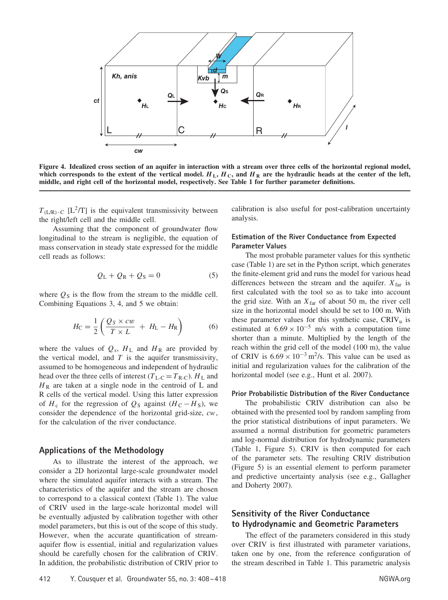

**Figure 4. Idealized cross section of an aquifer in interaction with a stream over three cells of the horizontal regional model,** which corresponds to the extent of the vertical model.  $H_L$ ,  $H_C$ , and  $H_R$  are the hydraulic heads at the center of the left, **middle, and right cell of the horizontal model, respectively. See Table 1 for further parameter definitions.**

 $T_{(LR)-C}$  [L<sup>2</sup>/T] is the equivalent transmissivity between the right/left cell and the middle cell.

Assuming that the component of groundwater flow longitudinal to the stream is negligible, the equation of mass conservation in steady state expressed for the middle cell reads as follows:

$$
Q_{\rm L} + Q_{\rm R} + Q_{\rm S} = 0 \tag{5}
$$

where  $Q_S$  is the flow from the stream to the middle cell. Combining Equations 3, 4, and 5 we obtain:

$$
H_{\rm C} = \frac{1}{2} \left( \frac{Q_S \times cw}{T \times L} + H_{\rm L} - H_{\rm R} \right) \tag{6}
$$

where the values of  $Q_s$ ,  $H_L$  and  $H_R$  are provided by the vertical model, and  $T$  is the aquifer transmissivity, assumed to be homogeneous and independent of hydraulic head over the three cells of interest ( $T_{L-C} = T_{R-C}$ ).  $H_L$  and  $H<sub>R</sub>$  are taken at a single node in the centroid of L and R cells of the vertical model. Using this latter expression of  $H_c$  for the regression of  $Q_S$  against ( $H_c - H_S$ ), we consider the dependence of the horizontal grid-size, *cw*, for the calculation of the river conductance.

## **Applications of the Methodology**

As to illustrate the interest of the approach, we consider a 2D horizontal large-scale groundwater model where the simulated aquifer interacts with a stream. The characteristics of the aquifer and the stream are chosen to correspond to a classical context (Table 1). The value of CRIV used in the large-scale horizontal model will be eventually adjusted by calibration together with other model parameters, but this is out of the scope of this study. However, when the accurate quantification of streamaquifer flow is essential, initial and regularization values should be carefully chosen for the calibration of CRIV. In addition, the probabilistic distribution of CRIV prior to calibration is also useful for post-calibration uncertainty analysis.

## **Estimation of the River Conductance from Expected Parameter Values**

The most probable parameter values for this synthetic case (Table 1) are set in the Python script, which generates the finite-element grid and runs the model for various head differences between the stream and the aquifer.  $X_{\text{far}}$  is first calculated with the tool so as to take into account the grid size. With an  $X_{\text{far}}$  of about 50 m, the river cell size in the horizontal model should be set to 100 m. With these parameter values for this synthetic case,  $CRIV<sub>u</sub>$  is estimated at  $6.69 \times 10^{-5}$  m/s with a computation time shorter than a minute. Multiplied by the length of the reach within the grid cell of the model (100 m), the value of CRIV is  $6.69 \times 10^{-3}$  m<sup>2</sup>/s. This value can be used as initial and regularization values for the calibration of the horizontal model (see e.g., Hunt et al. 2007).

#### **Prior Probabilistic Distribution of the River Conductance**

The probabilistic CRIV distribution can also be obtained with the presented tool by random sampling from the prior statistical distributions of input parameters. We assumed a normal distribution for geometric parameters and log-normal distribution for hydrodynamic parameters (Table 1, Figure 5). CRIV is then computed for each of the parameter sets. The resulting CRIV distribution (Figure 5) is an essential element to perform parameter and predictive uncertainty analysis (see e.g., Gallagher and Doherty 2007).

# **Sensitivity of the River Conductance to Hydrodynamic and Geometric Parameters**

The effect of the parameters considered in this study over CRIV is first illustrated with parameter variations, taken one by one, from the reference configuration of the stream described in Table 1. This parametric analysis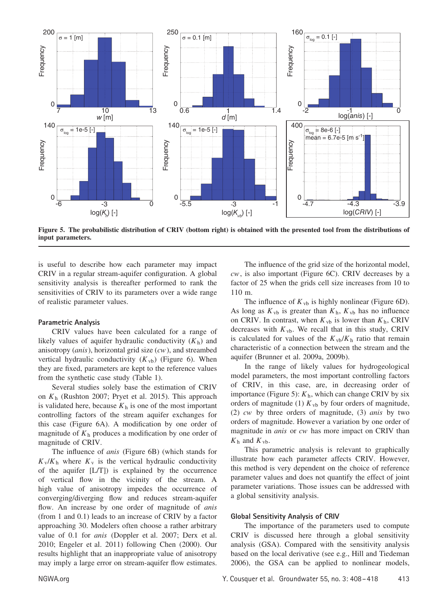

**Figure 5. The probabilistic distribution of CRIV (bottom right) is obtained with the presented tool from the distributions of input parameters.**

is useful to describe how each parameter may impact CRIV in a regular stream-aquifer configuration. A global sensitivity analysis is thereafter performed to rank the sensitivities of CRIV to its parameters over a wide range of realistic parameter values.

### **Parametric Analysis**

CRIV values have been calculated for a range of likely values of aquifer hydraulic conductivity  $(K_h)$  and anisotropy (*anis*), horizontal grid size (*cw*), and streambed vertical hydraulic conductivity  $(K_{\rm vb})$  (Figure 6). When they are fixed, parameters are kept to the reference values from the synthetic case study (Table 1).

Several studies solely base the estimation of CRIV on *K*<sup>h</sup> (Rushton 2007; Pryet et al. 2015). This approach is validated here, because  $K<sub>h</sub>$  is one of the most important controlling factors of the stream aquifer exchanges for this case (Figure 6A). A modification by one order of magnitude of  $K<sub>h</sub>$  produces a modification by one order of magnitude of CRIV.

The influence of *anis* (Figure 6B) (which stands for  $K_{\rm v}/K_{\rm h}$  where  $K_{\rm v}$  is the vertical hydraulic conductivity of the aquifer [L/T]) is explained by the occurrence of vertical flow in the vicinity of the stream. A high value of anisotropy impedes the occurrence of converging/diverging flow and reduces stream-aquifer flow. An increase by one order of magnitude of *anis* (from 1 and 0.1) leads to an increase of CRIV by a factor approaching 30. Modelers often choose a rather arbitrary value of 0.1 for *anis* (Doppler et al. 2007; Derx et al. 2010; Engeler et al. 2011) following Chen (2000). Our results highlight that an inappropriate value of anisotropy may imply a large error on stream-aquifer flow estimates.

The influence of the grid size of the horizontal model, *cw*, is also important (Figure 6C). CRIV decreases by a factor of 25 when the grids cell size increases from 10 to 110 m.

The influence of  $K_{\rm vb}$  is highly nonlinear (Figure 6D). As long as  $K_{\nu b}$  is greater than  $K_{\rm h}$ ,  $K_{\nu b}$  has no influence on CRIV. In contrast, when  $K_{vb}$  is lower than  $K_h$ , CRIV decreases with  $K_{\rm vb}$ . We recall that in this study, CRIV is calculated for values of the  $K_{\rm vb}/K_{\rm h}$  ratio that remain characteristic of a connection between the stream and the aquifer (Brunner et al. 2009a, 2009b).

In the range of likely values for hydrogeological model parameters, the most important controlling factors of CRIV, in this case, are, in decreasing order of importance (Figure 5):  $K<sub>h</sub>$ , which can change CRIV by six orders of magnitude (1)  $K_{\rm vb}$  by four orders of magnitude, (2) *cw* by three orders of magnitude, (3) *anis* by two orders of magnitude. However a variation by one order of magnitude in *anis* or *cw* has more impact on CRIV than  $K<sub>h</sub>$  and  $K<sub>vb</sub>$ .

This parametric analysis is relevant to graphically illustrate how each parameter affects CRIV. However, this method is very dependent on the choice of reference parameter values and does not quantify the effect of joint parameter variations. Those issues can be addressed with a global sensitivity analysis.

#### **Global Sensitivity Analysis of CRIV**

The importance of the parameters used to compute CRIV is discussed here through a global sensitivity analysis (GSA). Compared with the sensitivity analysis based on the local derivative (see e.g., Hill and Tiedeman 2006), the GSA can be applied to nonlinear models,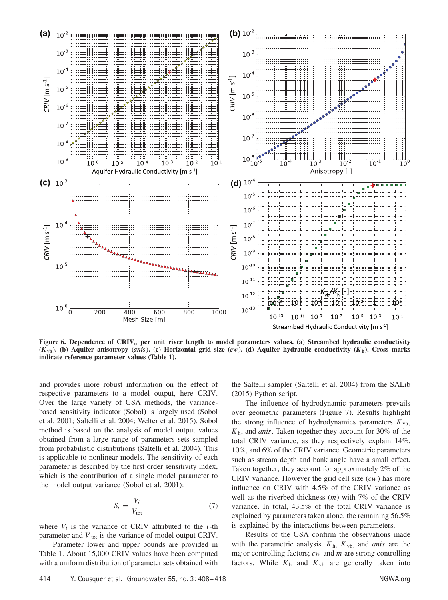

**Figure 6. Dependence of CRIVu per unit river length to model parameters values. (a) Streambed hydraulic conductivity (***K***vb). (b) Aquifer anisotropy (***anis***). (c) Horizontal grid size (***cw***). (d) Aquifer hydraulic conductivity (***K***h). Cross marks indicate reference parameter values (Table 1).**

and provides more robust information on the effect of respective parameters to a model output, here CRIV. Over the large variety of GSA methods, the variancebased sensitivity indicator (Sobol) is largely used (Sobol et al. 2001; Saltelli et al. 2004; Welter et al. 2015). Sobol method is based on the analysis of model output values obtained from a large range of parameters sets sampled from probabilistic distributions (Saltelli et al. 2004). This is applicable to nonlinear models. The sensitivity of each parameter is described by the first order sensitivity index, which is the contribution of a single model parameter to the model output variance (Sobol et al. 2001):

$$
S_i = \frac{V_i}{V_{\text{tot}}}
$$
 (7)

where  $V_i$  is the variance of CRIV attributed to the  $i$ -th parameter and  $V_{\text{tot}}$  is the variance of model output CRIV.

Parameter lower and upper bounds are provided in Table 1. About 15,000 CRIV values have been computed with a uniform distribution of parameter sets obtained with the Saltelli sampler (Saltelli et al. 2004) from the SALib (2015) Python script.

The influence of hydrodynamic parameters prevails over geometric parameters (Figure 7). Results highlight the strong influence of hydrodynamics parameters  $K_{\nu b}$ , *K*h, and *anis*. Taken together they account for 30% of the total CRIV variance, as they respectively explain 14%, 10%, and 6% of the CRIV variance. Geometric parameters such as stream depth and bank angle have a small effect. Taken together, they account for approximately 2% of the CRIV variance. However the grid cell size (*cw*) has more influence on CRIV with 4.5% of the CRIV variance as well as the riverbed thickness (*m*) with 7% of the CRIV variance. In total, 43.5% of the total CRIV variance is explained by parameters taken alone, the remaining 56.5% is explained by the interactions between parameters.

Results of the GSA confirm the observations made with the parametric analysis.  $K<sub>h</sub>$ ,  $K<sub>vb</sub>$ , and *anis* are the major controlling factors; *cw* and *m* are strong controlling factors. While  $K<sub>h</sub>$  and  $K<sub>vb</sub>$  are generally taken into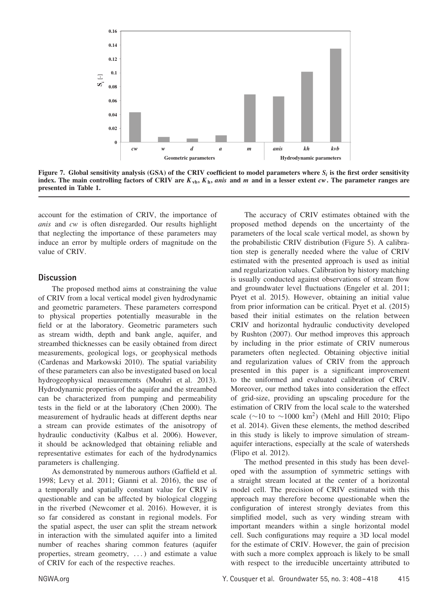

**Figure 7. Global sensitivity analysis (GSA) of the CRIV coefficient to model parameters where** *Si* **is the first order sensitivity index.** The main controlling factors of CRIV are  $K_{\nu b}$ ,  $K_{h}$ , *anis* and *m* and in a lesser extent *cw*. The parameter ranges are **presented in Table 1.**

account for the estimation of CRIV, the importance of *anis* and *cw* is often disregarded. Our results highlight that neglecting the importance of these parameters may induce an error by multiple orders of magnitude on the value of CRIV.

## **Discussion**

The proposed method aims at constraining the value of CRIV from a local vertical model given hydrodynamic and geometric parameters. These parameters correspond to physical properties potentially measurable in the field or at the laboratory. Geometric parameters such as stream width, depth and bank angle, aquifer, and streambed thicknesses can be easily obtained from direct measurements, geological logs, or geophysical methods (Cardenas and Markowski 2010). The spatial variability of these parameters can also be investigated based on local hydrogeophysical measurements (Mouhri et al. 2013). Hydrodynamic properties of the aquifer and the streambed can be characterized from pumping and permeability tests in the field or at the laboratory (Chen 2000). The measurement of hydraulic heads at different depths near a stream can provide estimates of the anisotropy of hydraulic conductivity (Kalbus et al. 2006). However, it should be acknowledged that obtaining reliable and representative estimates for each of the hydrodynamics parameters is challenging.

As demonstrated by numerous authors (Gaffield et al. 1998; Levy et al. 2011; Gianni et al. 2016), the use of a temporally and spatially constant value for CRIV is questionable and can be affected by biological clogging in the riverbed (Newcomer et al. 2016). However, it is so far considered as constant in regional models. For the spatial aspect, the user can split the stream network in interaction with the simulated aquifer into a limited number of reaches sharing common features (aquifer properties, stream geometry, *...* ) and estimate a value of CRIV for each of the respective reaches.

The accuracy of CRIV estimates obtained with the proposed method depends on the uncertainty of the parameters of the local scale vertical model, as shown by the probabilistic CRIV distribution (Figure 5). A calibration step is generally needed where the value of CRIV estimated with the presented approach is used as initial and regularization values. Calibration by history matching is usually conducted against observations of stream flow and groundwater level fluctuations (Engeler et al. 2011; Pryet et al. 2015). However, obtaining an initial value from prior information can be critical. Pryet et al. (2015) based their initial estimates on the relation between CRIV and horizontal hydraulic conductivity developed by Rushton (2007). Our method improves this approach by including in the prior estimate of CRIV numerous parameters often neglected. Obtaining objective initial and regularization values of CRIV from the approach presented in this paper is a significant improvement to the uniformed and evaluated calibration of CRIV. Moreover, our method takes into consideration the effect of grid-size, providing an upscaling procedure for the estimation of CRIV from the local scale to the watershed scale ( $\sim$ 10 to  $\sim$ 1000 km<sup>2</sup>) (Mehl and Hill 2010; Flipo et al. 2014). Given these elements, the method described in this study is likely to improve simulation of streamaquifer interactions, especially at the scale of watersheds (Flipo et al. 2012).

The method presented in this study has been developed with the assumption of symmetric settings with a straight stream located at the center of a horizontal model cell. The precision of CRIV estimated with this approach may therefore become questionable when the configuration of interest strongly deviates from this simplified model, such as very winding stream with important meanders within a single horizontal model cell. Such configurations may require a 3D local model for the estimate of CRIV. However, the gain of precision with such a more complex approach is likely to be small with respect to the irreducible uncertainty attributed to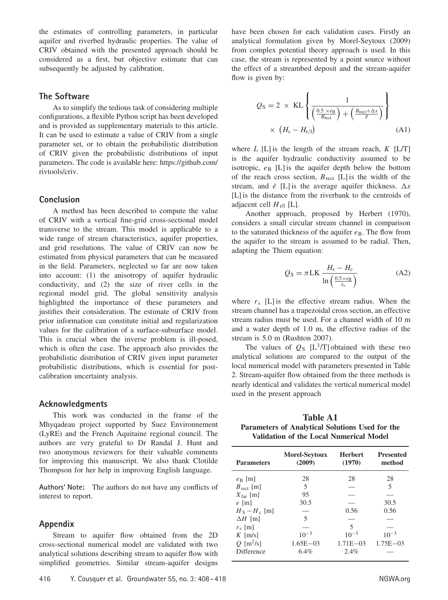the estimates of controlling parameters, in particular aquifer and riverbed hydraulic properties. The value of CRIV obtained with the presented approach should be considered as a first, but objective estimate that can subsequently be adjusted by calibration.

# **The Software**

As to simplify the tedious task of considering multiple configurations, a flexible Python script has been developed and is provided as supplementary materials to this article. It can be used to estimate a value of CRIV from a single parameter set, or to obtain the probabilistic distribution of CRIV given the probabilistic distributions of input parameters. The code is available here: [https://github.com/](https://github.com/rivtools/criv) [rivtools/criv.](https://github.com/rivtools/criv)

# **Conclusion**

A method has been described to compute the value of CRIV with a vertical fine-grid cross-sectional model transverse to the stream. This model is applicable to a wide range of stream characteristics, aquifer properties, and grid resolutions. The value of CRIV can now be estimated from physical parameters that can be measured in the field. Parameters, neglected so far are now taken into account: (1) the anisotropy of aquifer hydraulic conductivity, and (2) the size of river cells in the regional model grid. The global sensitivity analysis highlighted the importance of these parameters and justifies their consideration. The estimate of CRIV from prior information can constitute initial and regularization values for the calibration of a surface-subsurface model. This is crucial when the inverse problem is ill-posed, which is often the case. The approach also provides the probabilistic distribution of CRIV given input parameter probabilistic distributions, which is essential for postcalibration uncertainty analysis.

## **Acknowledgments**

This work was conducted in the frame of the Mhyqadeau project supported by Suez Environnement (LyRE) and the French Aquitaine regional council. The authors are very grateful to Dr Randal J. Hunt and two anonymous reviewers for their valuable comments for improving this manuscript. We also thank Clotilde Thompson for her help in improving English language.

**Authors' Note:** The authors do not have any conflicts of interest to report.

# **Appendix**

Stream to aquifer flow obtained from the 2D cross-sectional numerical model are validated with two analytical solutions describing stream to aquifer flow with simplified geometries. Similar stream-aquifer designs

416 Y. Cousquer et al. Groundwater 55, no. 3: 408 - 418 NGWA.org 3. All the State of the NGWA.org 3.

have been chosen for each validation cases. Firstly an analytical formulation given by Morel-Seytoux (2009) from complex potential theory approach is used. In this case, the stream is represented by a point source without the effect of a streambed deposit and the stream-aquifer flow is given by:

$$
Q_{\rm S} = 2 \times \text{KL}\left\{\frac{1}{\left(\frac{0.5 \times e_{\rm B}}{B_{\text{rect}}} \right) + \left(\frac{B_{\text{rect}} + \Delta x}{\bar{e}}\right)}\right\}
$$

$$
\times \left(H_{\rm S} - H_{\rm r/l}\right) \tag{A1}
$$

where  $L$  [L] is the length of the stream reach,  $K$  [L/T] is the aquifer hydraulic conductivity assumed to be isotropic,  $e_B$  [L] is the aquifer depth below the bottom of the reach cross section,  $B_{\text{rect}}$  [L] is the width of the stream, and  $\bar{e}$  [L] is the average aquifer thickness.  $\Delta x$ [L] is the distance from the riverbank to the centroids of adjacent cell  $H_{r1}$  [L].

Another approach, proposed by Herbert (1970), considers a small circular stream channel in comparison to the saturated thickness of the aquifer  $e_B$ . The flow from the aquifer to the stream is assumed to be radial. Then, adapting the Thiem equation:

$$
Q_{\rm S} = \pi \, \text{LK} \, \frac{H_{\rm s} - H_{\rm c}}{\ln \left( \frac{0.5 \times e_{\rm B}}{r_{\rm s}} \right)} \tag{A2}
$$

where  $r_s$  [L] is the effective stream radius. When the stream channel has a trapezoidal cross section, an effective stream radius must be used. For a channel width of 10 m and a water depth of 1.0 m, the effective radius of the stream is 5.0 m (Rushton 2007).

The values of  $Q_S$  [L<sup>3</sup>/T] obtained with these two analytical solutions are compared to the output of the local numerical model with parameters presented in Table 2. Stream-aquifer flow obtained from the three methods is nearly identical and validates the vertical numerical model used in the present approach

## **Table A1 Parameters of Analytical Solutions Used for the Validation of the Local Numerical Model**

| <b>Parameters</b>     | <b>Morel-Seytoux</b><br>(2009) | <b>Herbert</b><br>(1970) | <b>Presented</b><br>method |
|-----------------------|--------------------------------|--------------------------|----------------------------|
| $e_{\rm B}$ [m]       | 28                             | 28                       | 28                         |
| $B_{\text{rect}}$ [m] | 5                              |                          | 5                          |
| $X_{\text{far}}$ [m]  | 95                             |                          |                            |
| $e$ [m]               | 30.5                           |                          | 30.5                       |
| $H_S-H_c$ [m]         |                                | 0.56                     | 0.56                       |
| $\Delta H$ [m]        | 5                              |                          |                            |
| $r_s$ [m]             |                                | 5                        |                            |
| $K \text{ [m/s]}$     | $10^{-3}$                      | $10^{-3}$                | $10^{-3}$                  |
| Q [m <sup>2</sup> /s] | $1.65E - 03$                   | $1.71E - 03$             | $1.75E - 03$               |
| Difference            | 6.4%                           | 2.4%                     |                            |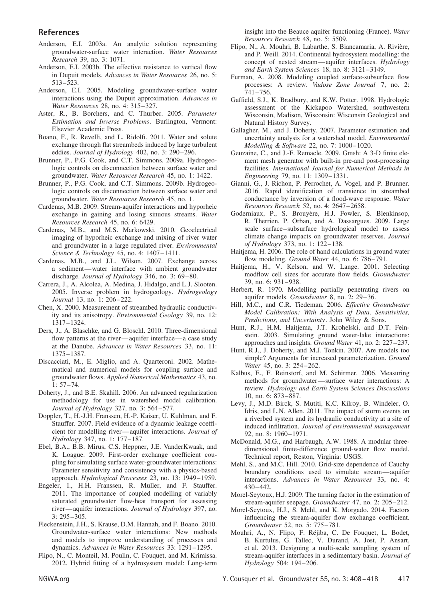# **References**

- Anderson, E.I. 2003a. An analytic solution representing groundwater-surface water interaction. *Water Resources Research* 39, no. 3: 1071.
- Anderson, E.I. 2003b. The effective resistance to vertical flow in Dupuit models. *Advances in Water Resources* 26, no. 5: 513–523.
- Anderson, E.I. 2005. Modeling groundwater-surface water interactions using the Dupuit approximation. *Advances in Water Resources* 28, no. 4: 315–327.
- Aster, R., B. Borchers, and C. Thurber. 2005. *Parameter Estimation and Inverse Problems*. Burlington, Vermont: Elsevier Academic Press.
- Boano, F., R. Revelli, and L. Ridolfi. 2011. Water and solute exchange through flat streambeds induced by large turbulent eddies. *Journal of Hydrology* 402, no. 3: 290–296.
- Brunner, P., P.G. Cook, and C.T. Simmons. 2009a. Hydrogeologic controls on disconnection between surface water and groundwater. *Water Resources Research* 45, no. 1: 1422.
- Brunner, P., P.G. Cook, and C.T. Simmons. 2009b. Hydrogeologic controls on disconnection between surface water and groundwater. *Water Resources Research* 45, no. 1.
- Cardenas, M.B. 2009. Stream-aquifer interactions and hyporheic exchange in gaining and losing sinuous streams. *Water Resources Research* 45, no. 6: 6429.
- Cardenas, M.B., and M.S. Markowski. 2010. Geoelectrical imaging of hyporheic exchange and mixing of river water and groundwater in a large regulated river. *Environmental Science & Technology* 45, no. 4: 1407–1411.
- Cardenas, M.B., and J.L. Wilson. 2007. Exchange across a sediment—water interface with ambient groundwater discharge. *Journal of Hydrology* 346, no. 3: 69–80.
- Carrera, J., A. Alcolea, A. Medina, J. Hidalgo, and L.J. Slooten. 2005. Inverse problem in hydrogeology. *Hydrogeology Journal* 13, no. 1: 206–222.
- Chen, X. 2000. Measurement of streambed hydraulic conductivity and its anisotropy. *Environmental Geology* 39, no. 12: 1317–1324.
- Derx, J., A. Blaschke, and G. Bloschl. 2010. Three-dimensional flow patterns at the river—aquifer interface—a case study at the Danube. *Advances in Water Resources* 33, no. 11: 1375–1387.
- Discacciati, M., E. Miglio, and A. Quarteroni. 2002. Mathematical and numerical models for coupling surface and groundwater flows. *Applied Numerical Mathematics* 43, no. 1: 57–74.
- Doherty, J., and B.E. Skahill. 2006. An advanced regularization methodology for use in watershed model calibration. *Journal of Hydrology* 327, no. 3: 564–577.
- Doppler, T., H.-J.H. Franssen, H.-P. Kaiser, U. Kuhlman, and F. Stauffer. 2007. Field evidence of a dynamic leakage coefficient for modelling river—aquifer interactions. *Journal of Hydrology* 347, no. 1: 177–187.
- Ebel, B.A., B.B. Mirus, C.S. Heppner, J.E. VanderKwaak, and K. Loague. 2009. First-order exchange coefficient coupling for simulating surface water-groundwater interactions: Parameter sensitivity and consistency with a physics-based approach. *Hydrological Processes* 23, no. 13: 1949–1959.
- Engeler, I., H.H. Franssen, R. Muller, and F. Stauffer. 2011. The importance of coupled modelling of variably saturated groundwater flow-heat transport for assessing river—aquifer interactions. *Journal of Hydrology* 397, no. 3: 295–305.
- Fleckenstein, J.H., S. Krause, D.M. Hannah, and F. Boano. 2010. Groundwater-surface water interactions: New methods and models to improve understanding of processes and dynamics. *Advances in Water Resources* 33: 1291–1295.
- Flipo, N., C. Monteil, M. Poulin, C. Fouquet, and M. Krimissa. 2012. Hybrid fitting of a hydrosystem model: Long-term

insight into the Beauce aquifer functioning (France). *Water Resources Research* 48, no. 5: 5509.

- Flipo, N., A. Mouhri, B. Labarthe, S. Biancamaria, A. Riviere, ` and P. Weill. 2014. Continental hydrosystem modelling: the concept of nested stream—aquifer interfaces. *Hydrology and Earth System Sciences* 18, no. 8: 3121–3149.
- Furman, A. 2008. Modeling coupled surface-subsurface flow processes: A review. *Vadose Zone Journal* 7, no. 2: 741–756.
- Gaffield, S.J., K. Bradbury, and K.W. Potter. 1998. Hydrologic assessment of the Kickapoo Watershed, southwestern Wisconsin, Madison, Wisconsin: Wisconsin Geological and Natural History Survey.
- Gallagher, M., and J. Doherty. 2007. Parameter estimation and uncertainty analysis for a watershed model. *Environmental Modelling & Software* 22, no. 7: 1000–1020.
- Geuzaine, C., and J.-F. Remacle. 2009. Gmsh: A 3-D finite element mesh generator with built-in pre-and post-processing facilities. *International Journal for Numerical Methods in Engineering* 79, no. 11: 1309–1331.
- Gianni, G., J. Richon, P. Perrochet, A. Vogel, and P. Brunner. 2016. Rapid identification of transience in streambed conductance by inversion of a flood-wave response. *Water Resources Research* 52, no. 4: 2647–2658.
- Goderniaux, P., S. Brouyère, H.J. Fowler, S. Blenkinsop, R. Therrien, P. Orban, and A. Dassargues. 2009. Large scale surface–subsurface hydrological model to assess climate change impacts on groundwater reserves. *Journal of Hydrology* 373, no. 1: 122–138.
- Haitjema, H. 2006. The role of hand calculations in ground water flow modeling. *Ground Water* 44, no. 6: 786–791.
- Haitjema, H., V. Kelson, and W. Lange. 2001. Selecting modflow cell sizes for accurate flow fields. *Groundwater* 39, no. 6: 931–938.
- Herbert, R. 1970. Modelling partially penetrating rivers on aquifer models. *Groundwater* 8, no. 2: 29–36.
- Hill, M.C., and C.R. Tiedeman. 2006. *Effective Groundwater Model Calibration: With Analysis of Data, Sensitivities, Predictions, and Uncertainty*. John Wiley & Sons.
- Hunt, R.J., H.M. Haitjema, J.T. Krohelski, and D.T. Feinstein. 2003. Simulating ground water-lake interactions: approaches and insights. *Ground Water* 41, no. 2: 227–237.
- Hunt, R.J., J. Doherty, and M.J. Tonkin. 2007. Are models too simple? Arguments for increased parameterization. *Ground Water* 45, no. 3: 254–262.
- Kalbus, E., F. Reinstorf, and M. Schirmer. 2006. Measuring methods for groundwater—surface water interactions: A review. *Hydrology and Earth System Sciences Discussions* 10, no. 6: 873–887.
- Levy, J., M.D. Birck, S. Mutiti, K.C. Kilroy, B. Windeler, O. Idris, and L.N. Allen. 2011. The impact of storm events on a riverbed system and its hydraulic conductivity at a site of induced infiltration. *Journal of environmental management* 92, no. 8: 1960–1971.
- McDonald, M.G., and Harbaugh, A.W. 1988. A modular threedimensional finite-difference ground-water flow model. Technical report, Reston, Virginia: USGS.
- Mehl, S., and M.C. Hill. 2010. Grid-size dependence of Cauchy boundary conditions used to simulate stream—aquifer interactions. *Advances in Water Resources* 33, no. 4: 430–442.
- Morel-Seytoux, H.J. 2009. The turning factor in the estimation of stream-aquifer seepage. *Groundwater* 47, no. 2: 205–212.
- Morel-Seytoux, H.J., S. Mehl, and K. Morgado. 2014. Factors influencing the stream-aquifer flow exchange coefficient. *Groundwater* 52, no. 5: 775–781.
- Mouhri, A., N. Flipo, F. Rejiba, C. De Fouquet, L. Bodet, ´ B. Kurtulus, G. Tallec, V. Durand, A. Jost, P. Ansart, et al. 2013. Designing a multi-scale sampling system of stream-aquifer interfaces in a sedimentary basin. *Journal of Hydrology* 504: 194–206.